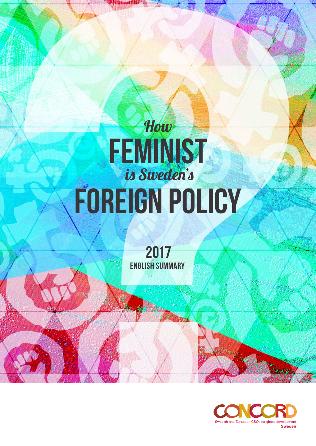# How **FEMINIST**  is Sweden's foreign policy

2017 English Summary

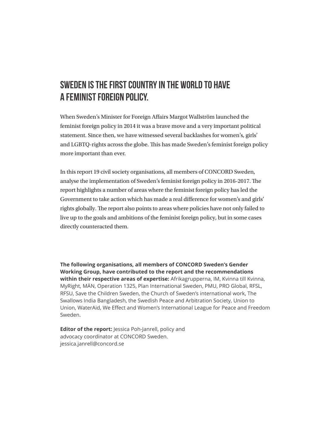#### Sweden is the first country in the world to have a feminist foreign policy.

When Sweden's Minister for Foreign Affairs Margot Wallström launched the feminist foreign policy in 2014 it was a brave move and a very important political statement. Since then, we have witnessed several backlashes for women's, girls' and LGBTQ-rights across the globe. This has made Sweden's feminist foreign policy more important than ever.

In this report 19 civil society organisations, all members of CONCORD Sweden, analyse the implementation of Sweden's feminist foreign policy in 2016-2017. The report highlights a number of areas where the feminist foreign policy has led the Government to take action which has made a real difference for women's and girls' rights globally. The report also points to areas where policies have not only failed to live up to the goals and ambitions of the feminist foreign policy, but in some cases directly counteracted them.

**The following organisations, all members of CONCORD Sweden's Gender Working Group, have contributed to the report and the recommendations within their respective areas of expertise:** Afrikagrupperna, IM, Kvinna till Kvinna, MyRight, MÄN, Operation 1325, Plan International Sweden, PMU, PRO Global, RFSL, RFSU, Save the Children Sweden, the Church of Sweden's international work, The Swallows India Bangladesh, the Swedish Peace and Arbitration Society, Union to Union, WaterAid, We Effect and Women's International League for Peace and Freedom Sweden.

**Editor of the report:** lessica Poh-Janrell, policy and advocacy coordinator at CONCORD Sweden. jessica.janrell@concord.se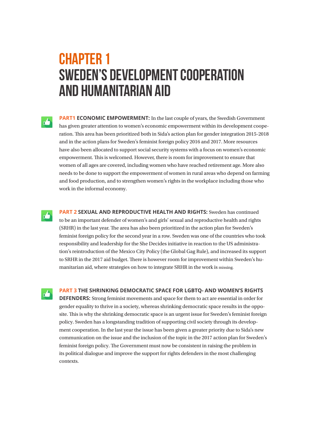## **CHAPTER 1** Sweden's development cooperation and humanitarian aid

**PART1 ECONOMIC EMPOWERMENT:** In the last couple of years, the Swedish Government has given greater attention to women's economic empowerment within its development cooperation. This area has been prioritized both in Sida's action plan for gender integration 2015-2018 and in the action plans for Sweden's feminist foreign policy 2016 and 2017. More resources have also been allocated to support social security systems with a focus on women's economic empowerment. This is welcomed. However, there is room for improvement to ensure that women of all ages are covered, including women who have reached retirement age. More also needs to be done to support the empowerment of women in rural areas who depend on farming and food production, and to strengthen women's rights in the workplace including those who work in the informal economy.

**PART 2 SEXUAL AND REPRODUCTIVE HEALTH AND RIGHTS:** Sweden has continued to be an important defender of women's and girls' sexual and reproductive health and rights (SRHR) in the last year. The area has also been prioritized in the action plan for Sweden's feminist foreign policy for the second year in a row. Sweden was one of the countries who took responsibility and leadership for the She Decides initiative in reaction to the US administration's reintroduction of the Mexico City Policy (the Global Gag Rule), and increased its support to SRHR in the 2017 aid budget. There is however room for improvement within Sweden's humanitarian aid, where strategies on how to integrate SRHR in the work is missing.

rb.

 $\mathbf{A}$ 

**PART 3 THE SHRINKING DEMOCRATIC SPACE FOR LGBTQ- AND WOMEN'S RIGHTS** 

**DEFENDERS:** Strong feminist movements and space for them to act are essential in order for gender equality to thrive in a society, whereas shrinking democratic space results in the opposite. This is why the shrinking democratic space is an urgent issue for Sweden's feminist foreign policy. Sweden has a longstanding tradition of supporting civil society through its development cooperation. In the last year the issue has been given a greater priority due to Sida's new communication on the issue and the inclusion of the topic in the 2017 action plan for Sweden's feminist foreign policy. The Government must now be consistent in raising the problem in its political dialogue and improve the support for rights defenders in the most challenging contexts.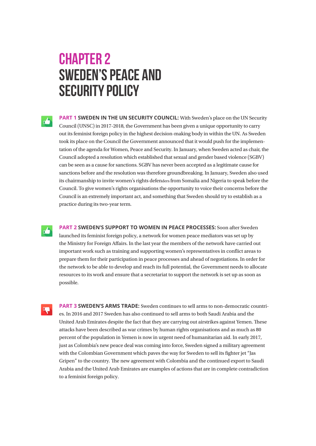#### Chapter 2 Sweden's peace and SECURITY POLICY

**PART 1 SWEDEN IN THE UN SECURITY COUNCIL:** With Sweden's place on the UN Security Council (UNSC) in 2017-2018, the Government has been given a unique opportunity to carry out its feminist foreign policy in the highest decision-making body in within the UN. As Sweden took its place on the Council the Government announced that it would push for the implementation of the agenda for Women, Peace and Security. In January, when Sweden acted as chair, the Council adopted a resolution which established that sexual and gender based violence (SGBV) can be seen as a cause for sanctions. SGBV has never been accepted as a legitimate cause for sanctions before and the resolution was therefore groundbreaking. In January, Sweden also used its chairmanship to invite women's rights defenders from Somalia and Nigeria to speak before the Council. To give women's rights organisations the opportunity to voice their concerns before the Council is an extremely important act, and something that Sweden should try to establish as a practice during its two-year term.

**PART 2 SWEDEN'S SUPPORT TO WOMEN IN PEACE PROCESSES:** Soon after Sweden launched its feminist foreign policy, a network for women peace mediators was set up by the Ministry for Foreign Affairs. In the last year the members of the network have carried out important work such as training and supporting women's representatives in conflict areas to prepare them for their participation in peace processes and ahead of negotiations. In order for the network to be able to develop and reach its full potential, the Government needs to allocate resources to its work and ensure that a secretariat to support the network is set up as soon as possible.

**PART 3 SWEDEN'S ARMS TRADE:** Sweden continues to sell arms to non-democratic countries. In 2016 and 2017 Sweden has also continued to sell arms to both Saudi Arabia and the United Arab Emirates despite the fact that they are carrying out airstrikes against Yemen. These attacks have been described as war crimes by human rights organisations and as much as 80 percent of the population in Yemen is now in urgent need of humanitarian aid. In early 2017, just as Colombia's new peace deal was coming into force, Sweden signed a military agreement with the Colombian Government which paves the way for Sweden to sell its fighter jet "Jas Gripen" to the country. The new agreement with Colombia and the continued export to Saudi Arabia and the United Arab Emirates are examples of actions that are in complete contradiction to a feminist foreign policy.

D<sub>1</sub>

rb.

击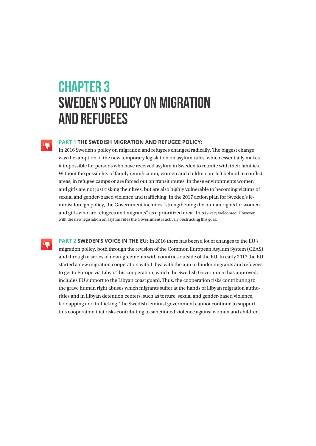## **CHAPTER 3** Sweden's policy on migration and refugees

#### **PART 1 THE SWEDISH MIGRATION AND REFUGEE POLICY:**

In 2016 Sweden's policy on migration and refugees changed radically. The biggest change was the adoption of the new temporary legislation on asylum rules, which essentially makes it impossible for persons who have received asylum in Sweden to reunite with their families. Without the possibility of family reunification, women and children are left behind in conflict areas, in refugee camps or are forced out on transit routes. In these environments women and girls are not just risking their lives, but are also highly vulnerable to becoming victims of sexual and gender-based violence and trafficking. In the 2017 action plan for Sweden's feminist foreign policy, the Government includes "strengthening the human rights for women and girls who are refugees and migrants" as a prioritized area. This is very welcomed. However, with the new legislation on asylum rules the Government is actively obstructing this goal.

D<sub>i</sub>

**DE** 

**PART 2 SWEDEN'S VOICE IN THE EU:** In 2016 there has been a lot of changes to the EU's migration policy, both through the revision of the Common European Asylum System (CEAS) and through a series of new agreements with countries outside of the EU. In early 2017 the EU started a new migration cooperation with Libya with the aim to hinder migrants and refugees to get to Europe via Libya. This cooperation, which the Swedish Government has approved, includes EU support to the Libyan coast guard. Thus, the cooperation risks contributing to the grave human right abuses which migrants suffer at the hands of Libyan migration authorities and in Libyan detention centers, such as torture, sexual and gender-based violence, kidnapping and trafficking. The Swedish feminist government cannot continue to support this cooperation that risks contributing to sanctioned violence against women and children.